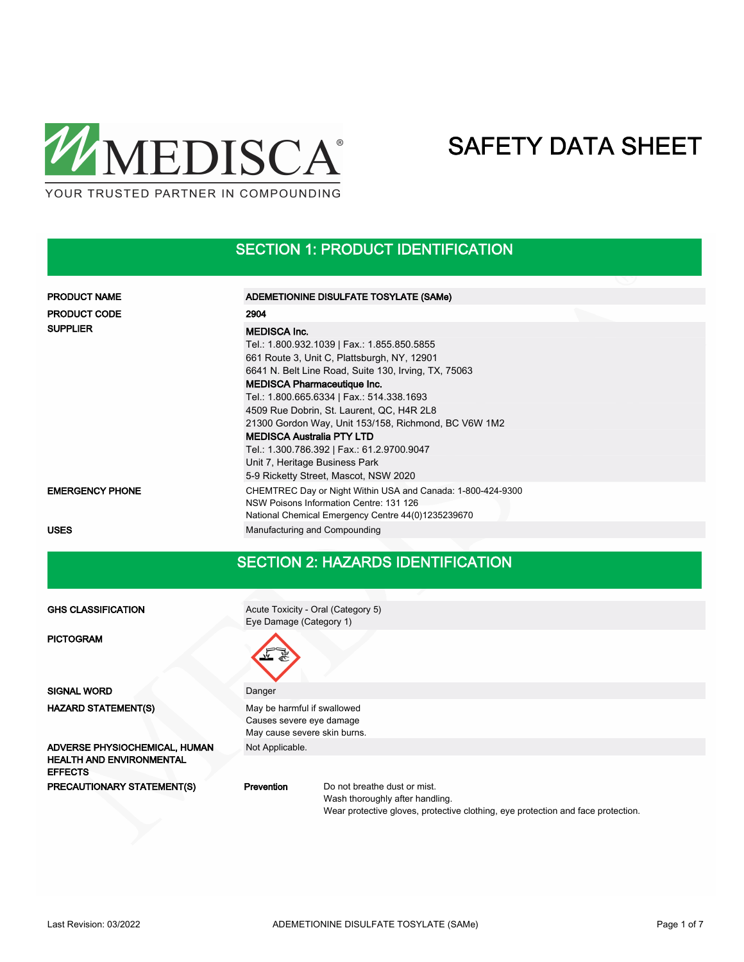

#### SECTION 1: PRODUCT IDENTIFICATION

| <b>PRODUCT NAME</b>    | ADEMETIONINE DISULFATE TOSYLATE (SAMe)                                                                                                                                                                                                                                                                                                                                                                                                                                                |  |  |  |  |  |
|------------------------|---------------------------------------------------------------------------------------------------------------------------------------------------------------------------------------------------------------------------------------------------------------------------------------------------------------------------------------------------------------------------------------------------------------------------------------------------------------------------------------|--|--|--|--|--|
| <b>PRODUCT CODE</b>    | 2904                                                                                                                                                                                                                                                                                                                                                                                                                                                                                  |  |  |  |  |  |
| <b>SUPPLIER</b>        | <b>MEDISCA Inc.</b><br>Tel.: 1.800.932.1039   Fax.: 1.855.850.5855<br>661 Route 3, Unit C, Plattsburgh, NY, 12901<br>6641 N. Belt Line Road, Suite 130, Irving, TX, 75063<br><b>MEDISCA Pharmaceutique Inc.</b><br>Tel.: 1.800.665.6334   Fax.: 514.338.1693<br>4509 Rue Dobrin, St. Laurent, QC, H4R 2L8<br>21300 Gordon Way, Unit 153/158, Richmond, BC V6W 1M2<br><b>MEDISCA Australia PTY LTD</b><br>Tel.: 1.300.786.392   Fax.: 61.2.9700.9047<br>Unit 7, Heritage Business Park |  |  |  |  |  |
|                        | 5-9 Ricketty Street, Mascot, NSW 2020                                                                                                                                                                                                                                                                                                                                                                                                                                                 |  |  |  |  |  |
| <b>EMERGENCY PHONE</b> | CHEMTREC Day or Night Within USA and Canada: 1-800-424-9300<br>NSW Poisons Information Centre: 131 126<br>National Chemical Emergency Centre 44(0)1235239670                                                                                                                                                                                                                                                                                                                          |  |  |  |  |  |
| <b>USES</b>            | Manufacturing and Compounding                                                                                                                                                                                                                                                                                                                                                                                                                                                         |  |  |  |  |  |

#### SECTION 2: HAZARDS IDENTIFICATION

GHS CLASSIFICATION

PICTOGRAM

HAZARD STATEMENT(S) ADVERSE PHYSIOCHEMICAL, HUMAN Not Applicable. HEALTH AND ENVIRONMENTAL EFFECTS

Acute Toxicity - Oral (Category 5) Eye Damage (Category 1)



SIGNAL WORD Danger May be harmful if swallowed Causes severe eye damage May cause severe skin burns.

PRECAUTIONARY STATEMENT(S) Prevention

Do not breathe dust or mist. Wash thoroughly after handling. Wear protective gloves, protective clothing, eye protection and face protection.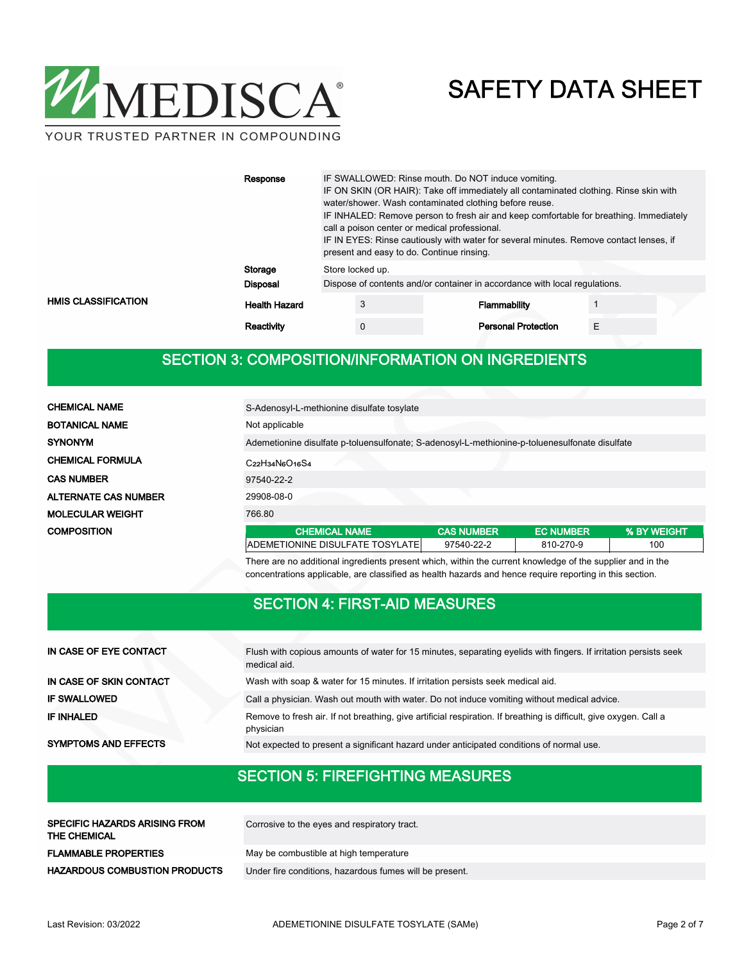

YOUR TRUSTED PARTNER IN COMPOUNDING

|                            | Response             | IF SWALLOWED: Rinse mouth. Do NOT induce vomiting.<br>IF ON SKIN (OR HAIR): Take off immediately all contaminated clothing. Rinse skin with<br>water/shower. Wash contaminated clothing before reuse.<br>IF INHALED: Remove person to fresh air and keep comfortable for breathing. Immediately<br>call a poison center or medical professional.<br>IF IN EYES: Rinse cautiously with water for several minutes. Remove contact lenses, if<br>present and easy to do. Continue rinsing. |          |  |                            |   |  |
|----------------------------|----------------------|-----------------------------------------------------------------------------------------------------------------------------------------------------------------------------------------------------------------------------------------------------------------------------------------------------------------------------------------------------------------------------------------------------------------------------------------------------------------------------------------|----------|--|----------------------------|---|--|
|                            | Storage              | Store locked up.                                                                                                                                                                                                                                                                                                                                                                                                                                                                        |          |  |                            |   |  |
|                            | <b>Disposal</b>      | Dispose of contents and/or container in accordance with local regulations.                                                                                                                                                                                                                                                                                                                                                                                                              |          |  |                            |   |  |
| <b>HMIS CLASSIFICATION</b> | <b>Health Hazard</b> |                                                                                                                                                                                                                                                                                                                                                                                                                                                                                         | 3        |  | <b>Flammability</b>        |   |  |
|                            | Reactivity           |                                                                                                                                                                                                                                                                                                                                                                                                                                                                                         | $\Omega$ |  | <b>Personal Protection</b> | F |  |

### SECTION 3: COMPOSITION/INFORMATION ON INGREDIENTS

| <b>CHEMICAL NAME</b>        | S-Adenosyl-L-methionine disulfate tosylate                                                     |                   |                  |             |
|-----------------------------|------------------------------------------------------------------------------------------------|-------------------|------------------|-------------|
| <b>BOTANICAL NAME</b>       | Not applicable                                                                                 |                   |                  |             |
| <b>SYNONYM</b>              | Ademetionine disulfate p-toluensulfonate; S-adenosyl-L-methionine-p-toluenesulfonate disulfate |                   |                  |             |
| <b>CHEMICAL FORMULA</b>     | $C22H34N6O16S4$                                                                                |                   |                  |             |
| <b>CAS NUMBER</b>           | 97540-22-2                                                                                     |                   |                  |             |
| <b>ALTERNATE CAS NUMBER</b> | 29908-08-0                                                                                     |                   |                  |             |
| <b>MOLECULAR WEIGHT</b>     | 766.80                                                                                         |                   |                  |             |
| <b>COMPOSITION</b>          | <b>CHEMICAL NAME</b>                                                                           | <b>CAS NUMBER</b> | <b>EC NUMBER</b> | % BY WEIGHT |
|                             | ADEMETIONINE DISULFATE TOSYLATE                                                                | 97540-22-2        | 810-270-9        | 100         |

There are no additional ingredients present which, within the current knowledge of the supplier and in the concentrations applicable, are classified as health hazards and hence require reporting in this section.

#### SECTION 4: FIRST-AID MEASURES

| IN CASE OF EYE CONTACT      | Flush with copious amounts of water for 15 minutes, separating eyelids with fingers. If irritation persists seek<br>medical aid. |
|-----------------------------|----------------------------------------------------------------------------------------------------------------------------------|
| IN CASE OF SKIN CONTACT     | Wash with soap & water for 15 minutes. If irritation persists seek medical aid.                                                  |
| <b>IF SWALLOWED</b>         | Call a physician. Wash out mouth with water. Do not induce vomiting without medical advice.                                      |
| <b>IF INHALED</b>           | Remove to fresh air. If not breathing, give artificial respiration. If breathing is difficult, give oxygen. Call a<br>physician  |
| <b>SYMPTOMS AND EFFECTS</b> | Not expected to present a significant hazard under anticipated conditions of normal use.                                         |

### SECTION 5: FIREFIGHTING MEASURES

| <b>SPECIFIC HAZARDS ARISING FROM</b><br>THE CHEMICAL | Corrosive to the eyes and respiratory tract.            |
|------------------------------------------------------|---------------------------------------------------------|
| <b>FLAMMABLE PROPERTIES</b>                          | May be combustible at high temperature                  |
| <b>HAZARDOUS COMBUSTION PRODUCTS</b>                 | Under fire conditions, hazardous fumes will be present. |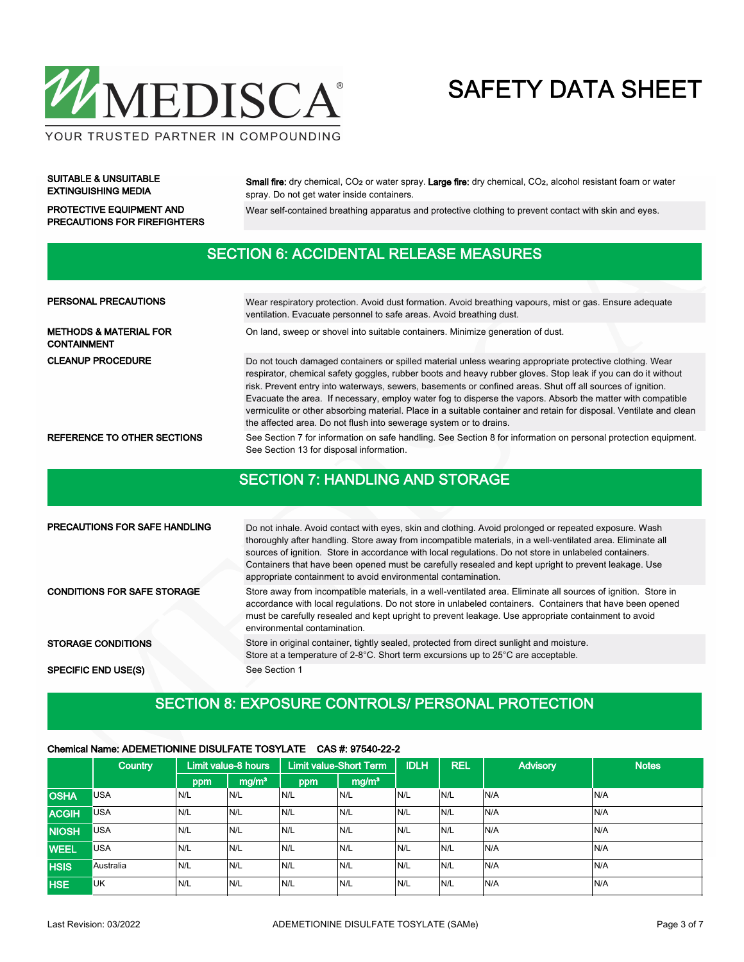

SUITABLE & UNSUITABLE EXTINGUISHING MEDIA

Small fire: dry chemical, CO2 or water spray. Large fire: dry chemical, CO2, alcohol resistant foam or water spray. Do not get water inside containers.

PRECAUTIONS FOR FIREFIGHTERS

PROTECTIVE EQUIPMENT AND Wear self-contained breathing apparatus and protective clothing to prevent contact with skin and eyes.

#### SECTION 6: ACCIDENTAL RELEASE MEASURES

| PERSONAL PRECAUTIONS                                    | Wear respiratory protection. Avoid dust formation. Avoid breathing vapours, mist or gas. Ensure adequate<br>ventilation. Evacuate personnel to safe areas. Avoid breathing dust.                                                                                                                                                                                                                                                                                                                                                                                                                                                                    |  |  |  |  |  |  |
|---------------------------------------------------------|-----------------------------------------------------------------------------------------------------------------------------------------------------------------------------------------------------------------------------------------------------------------------------------------------------------------------------------------------------------------------------------------------------------------------------------------------------------------------------------------------------------------------------------------------------------------------------------------------------------------------------------------------------|--|--|--|--|--|--|
| <b>METHODS &amp; MATERIAL FOR</b><br><b>CONTAINMENT</b> | On land, sweep or shovel into suitable containers. Minimize generation of dust.                                                                                                                                                                                                                                                                                                                                                                                                                                                                                                                                                                     |  |  |  |  |  |  |
| <b>CLEANUP PROCEDURE</b>                                | Do not touch damaged containers or spilled material unless wearing appropriate protective clothing. Wear<br>respirator, chemical safety goggles, rubber boots and heavy rubber gloves. Stop leak if you can do it without<br>risk. Prevent entry into waterways, sewers, basements or confined areas. Shut off all sources of ignition.<br>Evacuate the area. If necessary, employ water fog to disperse the vapors. Absorb the matter with compatible<br>vermiculite or other absorbing material. Place in a suitable container and retain for disposal. Ventilate and clean<br>the affected area. Do not flush into sewerage system or to drains. |  |  |  |  |  |  |
| REFERENCE TO OTHER SECTIONS                             | See Section 7 for information on safe handling. See Section 8 for information on personal protection equipment.<br>See Section 13 for disposal information.                                                                                                                                                                                                                                                                                                                                                                                                                                                                                         |  |  |  |  |  |  |

#### SECTION 7: HANDLING AND STORAGE

| <b>PRECAUTIONS FOR SAFE HANDLING</b> | Do not inhale. Avoid contact with eyes, skin and clothing. Avoid prolonged or repeated exposure. Wash<br>thoroughly after handling. Store away from incompatible materials, in a well-ventilated area. Eliminate all<br>sources of ignition. Store in accordance with local regulations. Do not store in unlabeled containers.<br>Containers that have been opened must be carefully resealed and kept upright to prevent leakage. Use<br>appropriate containment to avoid environmental contamination. |
|--------------------------------------|---------------------------------------------------------------------------------------------------------------------------------------------------------------------------------------------------------------------------------------------------------------------------------------------------------------------------------------------------------------------------------------------------------------------------------------------------------------------------------------------------------|
| <b>CONDITIONS FOR SAFE STORAGE</b>   | Store away from incompatible materials, in a well-ventilated area. Eliminate all sources of ignition. Store in<br>accordance with local regulations. Do not store in unlabeled containers. Containers that have been opened<br>must be carefully resealed and kept upright to prevent leakage. Use appropriate containment to avoid<br>environmental contamination.                                                                                                                                     |
| <b>STORAGE CONDITIONS</b>            | Store in original container, tightly sealed, protected from direct sunlight and moisture.<br>Store at a temperature of 2-8°C. Short term excursions up to 25°C are acceptable.                                                                                                                                                                                                                                                                                                                          |
| <b>SPECIFIC END USE(S)</b>           | See Section 1                                                                                                                                                                                                                                                                                                                                                                                                                                                                                           |

#### SECTION 8: EXPOSURE CONTROLS/ PERSONAL PROTECTION

#### Chemical Name: ADEMETIONINE DISULFATE TOSYLATE CAS #: 97540-22-2

|              | <b>Country</b> |      | Limit value-8 hours | Limit value-Short Term, |                   | <b>IDLH</b> | <b>REL</b> | <b>Advisory</b> | <b>Notes</b> |
|--------------|----------------|------|---------------------|-------------------------|-------------------|-------------|------------|-----------------|--------------|
|              |                | ppm  | mg/m <sup>3</sup>   | ppm                     | mg/m <sup>3</sup> |             |            |                 |              |
| <b>OSHA</b>  | <b>USA</b>     | N/L  | N/L                 | N/L                     | N/L               | IN/L        | N/L        | N/A             | IN/A         |
| <b>ACGIH</b> | <b>USA</b>     | N/L  | N/L                 | N/L                     | N/L               | IN/L        | N/L        | N/A             | IN/A         |
| <b>NIOSH</b> | <b>USA</b>     | N/L  | N/L                 | N/L                     | N/L               | IN/L        | N/L        | N/A             | IN/A         |
| <b>WEEL</b>  | <b>USA</b>     | N/L  | N/L                 | N/L                     | N/L               | IN/L        | N/L        | N/A             | N/A          |
| <b>HSIS</b>  | Australia      | 'N/L | N/L                 | N/L                     | N/L               | N/L         | N/L        | N/A             | IN/A         |
| <b>HSE</b>   | <b>UK</b>      | N/L  | N/L                 | N/L                     | N/L               | N/L         | N/L        | N/A             | N/A          |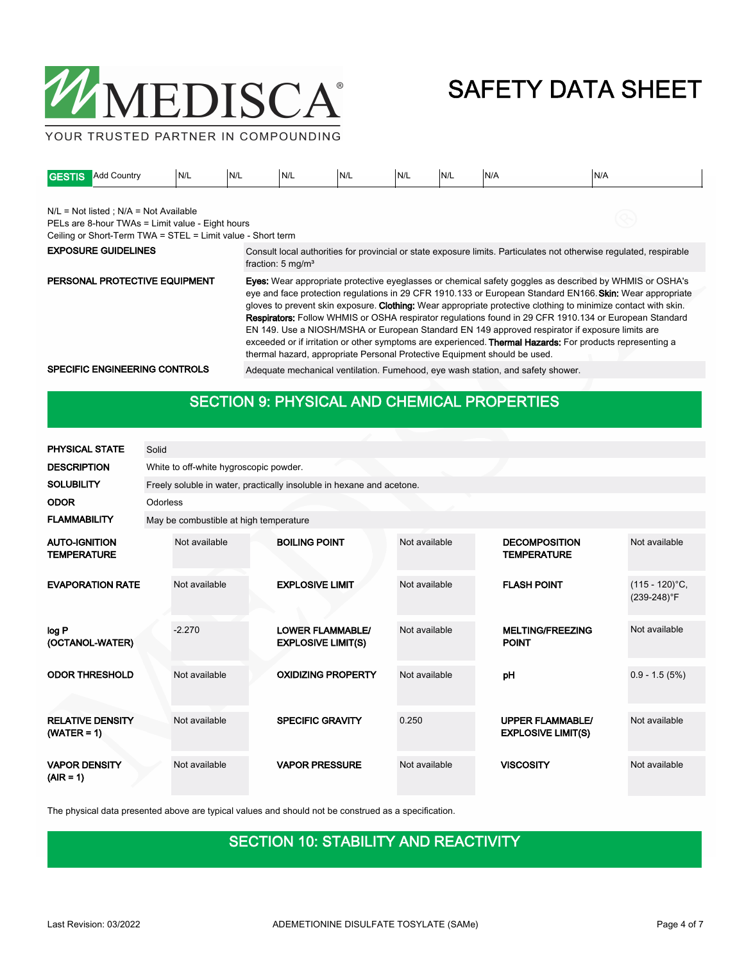

YOUR TRUSTED PARTNER IN COMPOUNDING

| <b>GESTIS</b> | <b>Add Country</b>                                                                                                                                            | N/L | N/L | N/L                          | N/L | N/L | N/L                                                                                                                                                                                                                                                                                                                                                                                                                                                                                                                                                                                                                                                                                                                                                                | N/A                                                                                                                 | N/A |
|---------------|---------------------------------------------------------------------------------------------------------------------------------------------------------------|-----|-----|------------------------------|-----|-----|--------------------------------------------------------------------------------------------------------------------------------------------------------------------------------------------------------------------------------------------------------------------------------------------------------------------------------------------------------------------------------------------------------------------------------------------------------------------------------------------------------------------------------------------------------------------------------------------------------------------------------------------------------------------------------------------------------------------------------------------------------------------|---------------------------------------------------------------------------------------------------------------------|-----|
|               | $N/L = Not listed$ ; $N/A = Not Available$<br>PELs are 8-hour TWAs = Limit value - Eight hours<br>Ceiling or Short-Term TWA = STEL = Limit value - Short term |     |     |                              |     |     |                                                                                                                                                                                                                                                                                                                                                                                                                                                                                                                                                                                                                                                                                                                                                                    |                                                                                                                     |     |
|               | <b>EXPOSURE GUIDELINES</b>                                                                                                                                    |     |     | fraction: $5 \text{ mg/m}^3$ |     |     |                                                                                                                                                                                                                                                                                                                                                                                                                                                                                                                                                                                                                                                                                                                                                                    | Consult local authorities for provincial or state exposure limits. Particulates not otherwise regulated, respirable |     |
|               | PERSONAL PROTECTIVE EQUIPMENT                                                                                                                                 |     |     |                              |     |     | <b>Eyes:</b> Wear appropriate protective eyeglasses or chemical safety goggles as described by WHMIS or OSHA's<br>eve and face protection regulations in 29 CFR 1910.133 or European Standard EN166. Skin: Wear appropriate<br>gloves to prevent skin exposure. Clothing: Wear appropriate protective clothing to minimize contact with skin.<br><b>Respirators:</b> Follow WHMIS or OSHA respirator regulations found in 29 CFR 1910.134 or European Standard<br>EN 149. Use a NIOSH/MSHA or European Standard EN 149 approved respirator if exposure limits are<br>exceeded or if irritation or other symptoms are experienced. <b>Thermal Hazards:</b> For products representing a<br>thermal hazard, appropriate Personal Protective Equipment should be used. |                                                                                                                     |     |
|               | SPECIFIC ENGINEERING CONTROLS                                                                                                                                 |     |     |                              |     |     |                                                                                                                                                                                                                                                                                                                                                                                                                                                                                                                                                                                                                                                                                                                                                                    | Adequate mechanical ventilation. Fumehood, eye wash station, and safety shower.                                     |     |

### SECTION 9: PHYSICAL AND CHEMICAL PROPERTIES

| <b>PHYSICAL STATE</b>                      | Solid    |                                        |                                                                       |               |                                                      |                                  |  |  |  |
|--------------------------------------------|----------|----------------------------------------|-----------------------------------------------------------------------|---------------|------------------------------------------------------|----------------------------------|--|--|--|
| <b>DESCRIPTION</b>                         |          | White to off-white hygroscopic powder. |                                                                       |               |                                                      |                                  |  |  |  |
| <b>SOLUBILITY</b>                          |          |                                        | Freely soluble in water, practically insoluble in hexane and acetone. |               |                                                      |                                  |  |  |  |
| <b>ODOR</b>                                | Odorless |                                        |                                                                       |               |                                                      |                                  |  |  |  |
| <b>FLAMMABILITY</b>                        |          | May be combustible at high temperature |                                                                       |               |                                                      |                                  |  |  |  |
| <b>AUTO-IGNITION</b><br><b>TEMPERATURE</b> |          | Not available                          | <b>BOILING POINT</b>                                                  | Not available | <b>DECOMPOSITION</b><br><b>TEMPERATURE</b>           | Not available                    |  |  |  |
| <b>EVAPORATION RATE</b>                    |          | Not available                          | <b>EXPLOSIVE LIMIT</b>                                                | Not available | <b>FLASH POINT</b>                                   | $(115 - 120)$ °C,<br>(239-248)°F |  |  |  |
| log P<br>(OCTANOL-WATER)                   |          | $-2.270$                               | <b>LOWER FLAMMABLE/</b><br><b>EXPLOSIVE LIMIT(S)</b>                  | Not available | <b>MELTING/FREEZING</b><br><b>POINT</b>              | Not available                    |  |  |  |
| <b>ODOR THRESHOLD</b>                      |          | Not available                          | <b>OXIDIZING PROPERTY</b>                                             | Not available | pH                                                   | $0.9 - 1.5(5%)$                  |  |  |  |
| <b>RELATIVE DENSITY</b><br>$(WATER = 1)$   |          | Not available                          | <b>SPECIFIC GRAVITY</b>                                               | 0.250         | <b>UPPER FLAMMABLE/</b><br><b>EXPLOSIVE LIMIT(S)</b> | Not available                    |  |  |  |
| <b>VAPOR DENSITY</b><br>$(AIR = 1)$        |          | Not available                          | <b>VAPOR PRESSURE</b>                                                 | Not available | <b>VISCOSITY</b>                                     | Not available                    |  |  |  |

The physical data presented above are typical values and should not be construed as a specification.

### SECTION 10: STABILITY AND REACTIVITY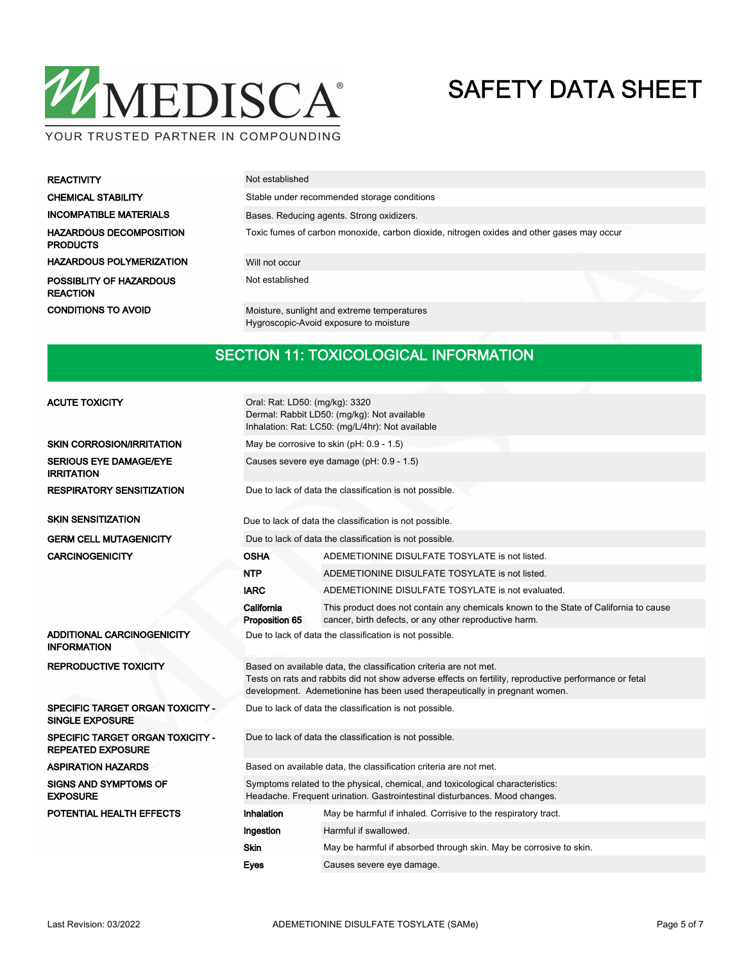

| <b>REACTIVITY</b>                                 | Not established                                                                           |
|---------------------------------------------------|-------------------------------------------------------------------------------------------|
| <b>CHEMICAL STABILITY</b>                         | Stable under recommended storage conditions                                               |
| <b>INCOMPATIBLE MATERIALS</b>                     | Bases. Reducing agents. Strong oxidizers.                                                 |
| <b>HAZARDOUS DECOMPOSITION</b><br><b>PRODUCTS</b> | Toxic fumes of carbon monoxide, carbon dioxide, nitrogen oxides and other gases may occur |
| <b>HAZARDOUS POLYMERIZATION</b>                   | Will not occur                                                                            |
| POSSIBLITY OF HAZARDOUS<br><b>REACTION</b>        | Not established                                                                           |
| <b>CONDITIONS TO AVOID</b>                        | Moisture, sunlight and extreme temperatures<br>Hygroscopic-Avoid exposure to moisture     |

#### SECTION 11: TOXICOLOGICAL INFORMATION

| <b>ACUTE TOXICITY</b>                                             | Oral: Rat: LD50: (mg/kg): 3320<br>Dermal: Rabbit LD50: (mg/kg): Not available<br>Inhalation: Rat: LC50: (mg/L/4hr): Not available                                                                                                                         |                                                                                                                                                 |  |  |  |  |  |
|-------------------------------------------------------------------|-----------------------------------------------------------------------------------------------------------------------------------------------------------------------------------------------------------------------------------------------------------|-------------------------------------------------------------------------------------------------------------------------------------------------|--|--|--|--|--|
| <b>SKIN CORROSION/IRRITATION</b>                                  | May be corrosive to skin (pH: 0.9 - 1.5)                                                                                                                                                                                                                  |                                                                                                                                                 |  |  |  |  |  |
| <b>SERIOUS EYE DAMAGE/EYE</b><br><b>IRRITATION</b>                | Causes severe eye damage (pH: 0.9 - 1.5)                                                                                                                                                                                                                  |                                                                                                                                                 |  |  |  |  |  |
| <b>RESPIRATORY SENSITIZATION</b>                                  | Due to lack of data the classification is not possible.                                                                                                                                                                                                   |                                                                                                                                                 |  |  |  |  |  |
| <b>SKIN SENSITIZATION</b>                                         |                                                                                                                                                                                                                                                           | Due to lack of data the classification is not possible.                                                                                         |  |  |  |  |  |
| <b>GERM CELL MUTAGENICITY</b>                                     |                                                                                                                                                                                                                                                           | Due to lack of data the classification is not possible.                                                                                         |  |  |  |  |  |
| <b>CARCINOGENICITY</b>                                            | OSHA                                                                                                                                                                                                                                                      | ADEMETIONINE DISULFATE TOSYLATE is not listed.                                                                                                  |  |  |  |  |  |
|                                                                   | NTP                                                                                                                                                                                                                                                       | ADEMETIONINE DISULFATE TOSYLATE is not listed.                                                                                                  |  |  |  |  |  |
|                                                                   | <b>IARC</b>                                                                                                                                                                                                                                               | ADEMETIONINE DISULFATE TOSYLATE is not evaluated.                                                                                               |  |  |  |  |  |
|                                                                   | California<br>Proposition 65                                                                                                                                                                                                                              | This product does not contain any chemicals known to the State of California to cause<br>cancer, birth defects, or any other reproductive harm. |  |  |  |  |  |
| ADDITIONAL CARCINOGENICITY<br><b>INFORMATION</b>                  | Due to lack of data the classification is not possible.                                                                                                                                                                                                   |                                                                                                                                                 |  |  |  |  |  |
| <b>REPRODUCTIVE TOXICITY</b>                                      | Based on available data, the classification criteria are not met.<br>Tests on rats and rabbits did not show adverse effects on fertility, reproductive performance or fetal<br>development. Ademetionine has been used therapeutically in pregnant women. |                                                                                                                                                 |  |  |  |  |  |
| <b>SPECIFIC TARGET ORGAN TOXICITY -</b><br><b>SINGLE EXPOSURE</b> |                                                                                                                                                                                                                                                           | Due to lack of data the classification is not possible.                                                                                         |  |  |  |  |  |
| SPECIFIC TARGET ORGAN TOXICITY -<br><b>REPEATED EXPOSURE</b>      |                                                                                                                                                                                                                                                           | Due to lack of data the classification is not possible.                                                                                         |  |  |  |  |  |
| <b>ASPIRATION HAZARDS</b>                                         |                                                                                                                                                                                                                                                           | Based on available data, the classification criteria are not met.                                                                               |  |  |  |  |  |
| <b>SIGNS AND SYMPTOMS OF</b><br><b>EXPOSURE</b>                   | Symptoms related to the physical, chemical, and toxicological characteristics:<br>Headache. Frequent urination. Gastrointestinal disturbances. Mood changes.                                                                                              |                                                                                                                                                 |  |  |  |  |  |
| POTENTIAL HEALTH EFFECTS                                          | Inhalation                                                                                                                                                                                                                                                | May be harmful if inhaled. Corrisive to the respiratory tract.                                                                                  |  |  |  |  |  |
|                                                                   | Ingestion                                                                                                                                                                                                                                                 | Harmful if swallowed.                                                                                                                           |  |  |  |  |  |
|                                                                   | <b>Skin</b>                                                                                                                                                                                                                                               | May be harmful if absorbed through skin. May be corrosive to skin.                                                                              |  |  |  |  |  |
|                                                                   | <b>Eyes</b>                                                                                                                                                                                                                                               | Causes severe eye damage.                                                                                                                       |  |  |  |  |  |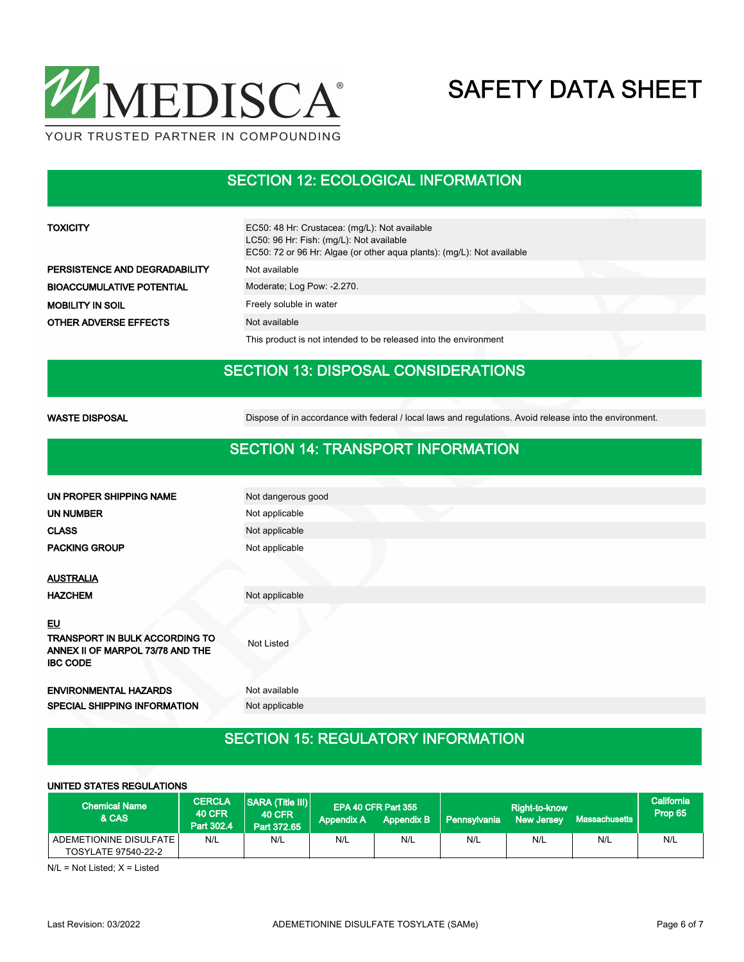

### SECTION 12: ECOLOGICAL INFORMATION

| <b>TOXICITY</b>                  | EC50: 48 Hr: Crustacea: (mg/L): Not available<br>LC50: 96 Hr: Fish: (mg/L): Not available<br>EC50: 72 or 96 Hr: Algae (or other aqua plants): (mg/L): Not available |  |  |  |
|----------------------------------|---------------------------------------------------------------------------------------------------------------------------------------------------------------------|--|--|--|
| PERSISTENCE AND DEGRADABILITY    | Not available                                                                                                                                                       |  |  |  |
| <b>BIOACCUMULATIVE POTENTIAL</b> | Moderate; Log Pow: -2.270.                                                                                                                                          |  |  |  |
| <b>MOBILITY IN SOIL</b>          | Freely soluble in water                                                                                                                                             |  |  |  |
| <b>OTHER ADVERSE EFFECTS</b>     | Not available                                                                                                                                                       |  |  |  |
|                                  | This product is not intended to be released into the environment                                                                                                    |  |  |  |

### SECTION 13: DISPOSAL CONSIDERATIONS

WASTE DISPOSAL **Dispose of in accordance with federal / local laws and regulations**. Avoid release into the environment.

#### SECTION 14: TRANSPORT INFORMATION

| Not dangerous good |
|--------------------|
| Not applicable     |
| Not applicable     |
| Not applicable     |
|                    |
|                    |
| Not applicable     |
| Not Listed         |
| Not available      |
| Not applicable     |
|                    |

### SECTION 15: REGULATORY INFORMATION

| UNITED STATES REGULATIONS                     |                                              |                                                         |                   |                                          |              |                                    |               |                       |
|-----------------------------------------------|----------------------------------------------|---------------------------------------------------------|-------------------|------------------------------------------|--------------|------------------------------------|---------------|-----------------------|
| <b>Chemical Name</b><br>& CAS                 | <b>CERCLA</b><br><b>40 CFR</b><br>Part 302.4 | <b>SARA (Title III)</b><br><b>40 CFR</b><br>Part 372.65 | <b>Appendix A</b> | EPA 40 CFR Part 355<br><b>Appendix B</b> | Pennsylvania | Right-to-know<br><b>New Jersey</b> | Massachusetts | California<br>Prop 65 |
| ADEMETIONINE DISULFATE<br>TOSYLATE 97540-22-2 | N/L                                          | N/L                                                     | N/L               | N/L                                      | N/L          | N/L                                | N/L           | N/L                   |

N/L = Not Listed; X = Listed